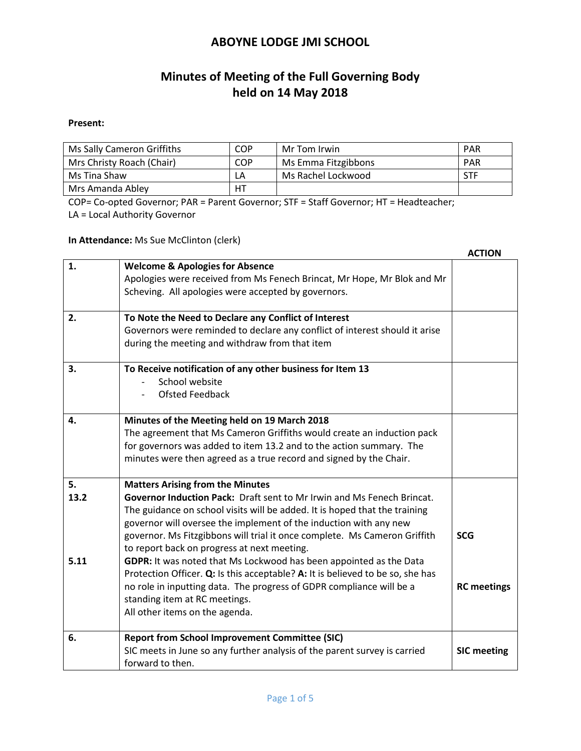# **Minutes of Meeting of the Full Governing Body held on 14 May 2018**

#### **Present:**

| Ms Sally Cameron Griffiths | COP        | Mr Tom Irwin        | <b>PAR</b> |
|----------------------------|------------|---------------------|------------|
| Mrs Christy Roach (Chair)  | <b>COP</b> | Ms Emma Fitzgibbons | <b>PAR</b> |
| Ms Tina Shaw               | LΑ         | Ms Rachel Lockwood  | STF        |
| Mrs Amanda Abley           | HТ         |                     |            |

COP= Co-opted Governor; PAR = Parent Governor; STF = Staff Governor; HT = Headteacher; LA = Local Authority Governor

**In Attendance:** Ms Sue McClinton (clerk)

|                    |                                                                                                                                                                                                                                                                                                                                                                                                                                                                                                                                                                                                                                                                                                            | <b>ACTION</b>                    |
|--------------------|------------------------------------------------------------------------------------------------------------------------------------------------------------------------------------------------------------------------------------------------------------------------------------------------------------------------------------------------------------------------------------------------------------------------------------------------------------------------------------------------------------------------------------------------------------------------------------------------------------------------------------------------------------------------------------------------------------|----------------------------------|
| 1.                 | <b>Welcome &amp; Apologies for Absence</b><br>Apologies were received from Ms Fenech Brincat, Mr Hope, Mr Blok and Mr<br>Scheving. All apologies were accepted by governors.                                                                                                                                                                                                                                                                                                                                                                                                                                                                                                                               |                                  |
| 2.                 | To Note the Need to Declare any Conflict of Interest<br>Governors were reminded to declare any conflict of interest should it arise<br>during the meeting and withdraw from that item                                                                                                                                                                                                                                                                                                                                                                                                                                                                                                                      |                                  |
| 3.                 | To Receive notification of any other business for Item 13<br>School website<br><b>Ofsted Feedback</b>                                                                                                                                                                                                                                                                                                                                                                                                                                                                                                                                                                                                      |                                  |
| 4.                 | Minutes of the Meeting held on 19 March 2018<br>The agreement that Ms Cameron Griffiths would create an induction pack<br>for governors was added to item 13.2 and to the action summary. The<br>minutes were then agreed as a true record and signed by the Chair.                                                                                                                                                                                                                                                                                                                                                                                                                                        |                                  |
| 5.<br>13.2<br>5.11 | <b>Matters Arising from the Minutes</b><br><b>Governor Induction Pack:</b> Draft sent to Mr Irwin and Ms Fenech Brincat.<br>The guidance on school visits will be added. It is hoped that the training<br>governor will oversee the implement of the induction with any new<br>governor. Ms Fitzgibbons will trial it once complete. Ms Cameron Griffith<br>to report back on progress at next meeting.<br>GDPR: It was noted that Ms Lockwood has been appointed as the Data<br>Protection Officer. Q: Is this acceptable? A: It is believed to be so, she has<br>no role in inputting data. The progress of GDPR compliance will be a<br>standing item at RC meetings.<br>All other items on the agenda. | <b>SCG</b><br><b>RC</b> meetings |
| 6.                 | <b>Report from School Improvement Committee (SIC)</b><br>SIC meets in June so any further analysis of the parent survey is carried<br>forward to then.                                                                                                                                                                                                                                                                                                                                                                                                                                                                                                                                                     | <b>SIC meeting</b>               |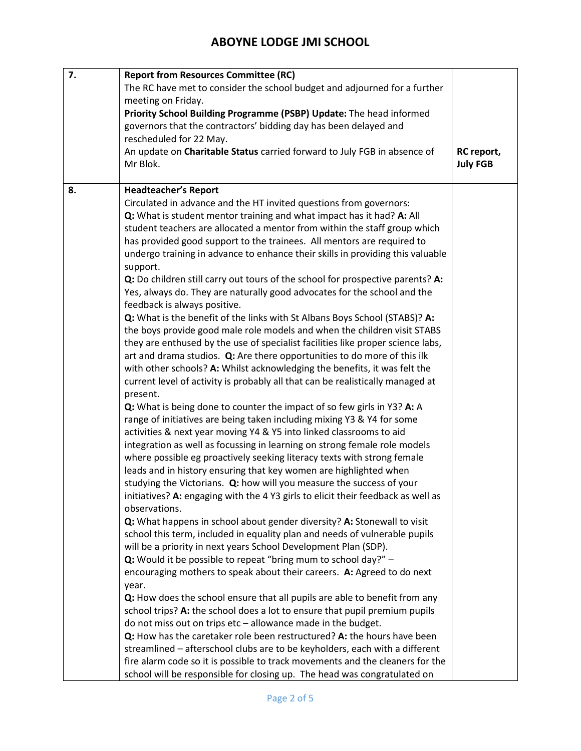| 7. | <b>Report from Resources Committee (RC)</b>                                      |                 |
|----|----------------------------------------------------------------------------------|-----------------|
|    | The RC have met to consider the school budget and adjourned for a further        |                 |
|    | meeting on Friday.                                                               |                 |
|    | Priority School Building Programme (PSBP) Update: The head informed              |                 |
|    | governors that the contractors' bidding day has been delayed and                 |                 |
|    | rescheduled for 22 May.                                                          |                 |
|    | An update on Charitable Status carried forward to July FGB in absence of         | RC report,      |
|    | Mr Blok.                                                                         | <b>July FGB</b> |
|    |                                                                                  |                 |
| 8. | <b>Headteacher's Report</b>                                                      |                 |
|    | Circulated in advance and the HT invited questions from governors:               |                 |
|    | Q: What is student mentor training and what impact has it had? A: All            |                 |
|    | student teachers are allocated a mentor from within the staff group which        |                 |
|    | has provided good support to the trainees. All mentors are required to           |                 |
|    | undergo training in advance to enhance their skills in providing this valuable   |                 |
|    | support.                                                                         |                 |
|    | Q: Do children still carry out tours of the school for prospective parents? A:   |                 |
|    | Yes, always do. They are naturally good advocates for the school and the         |                 |
|    | feedback is always positive.                                                     |                 |
|    | Q: What is the benefit of the links with St Albans Boys School (STABS)? A:       |                 |
|    | the boys provide good male role models and when the children visit STABS         |                 |
|    | they are enthused by the use of specialist facilities like proper science labs,  |                 |
|    | art and drama studios. Q: Are there opportunities to do more of this ilk         |                 |
|    |                                                                                  |                 |
|    | with other schools? A: Whilst acknowledging the benefits, it was felt the        |                 |
|    | current level of activity is probably all that can be realistically managed at   |                 |
|    | present.                                                                         |                 |
|    | Q: What is being done to counter the impact of so few girls in Y3? A: A          |                 |
|    | range of initiatives are being taken including mixing Y3 & Y4 for some           |                 |
|    | activities & next year moving Y4 & Y5 into linked classrooms to aid              |                 |
|    | integration as well as focussing in learning on strong female role models        |                 |
|    | where possible eg proactively seeking literacy texts with strong female          |                 |
|    | leads and in history ensuring that key women are highlighted when                |                 |
|    | studying the Victorians. Q: how will you measure the success of your             |                 |
|    | initiatives? A: engaging with the 4 Y3 girls to elicit their feedback as well as |                 |
|    | observations.                                                                    |                 |
|    | Q: What happens in school about gender diversity? A: Stonewall to visit          |                 |
|    | school this term, included in equality plan and needs of vulnerable pupils       |                 |
|    | will be a priority in next years School Development Plan (SDP).                  |                 |
|    | Q: Would it be possible to repeat "bring mum to school day?" $-$                 |                 |
|    | encouraging mothers to speak about their careers. A: Agreed to do next           |                 |
|    | year.                                                                            |                 |
|    | Q: How does the school ensure that all pupils are able to benefit from any       |                 |
|    | school trips? A: the school does a lot to ensure that pupil premium pupils       |                 |
|    | do not miss out on trips etc - allowance made in the budget.                     |                 |
|    | Q: How has the caretaker role been restructured? A: the hours have been          |                 |
|    | streamlined - afterschool clubs are to be keyholders, each with a different      |                 |
|    | fire alarm code so it is possible to track movements and the cleaners for the    |                 |
|    | school will be responsible for closing up. The head was congratulated on         |                 |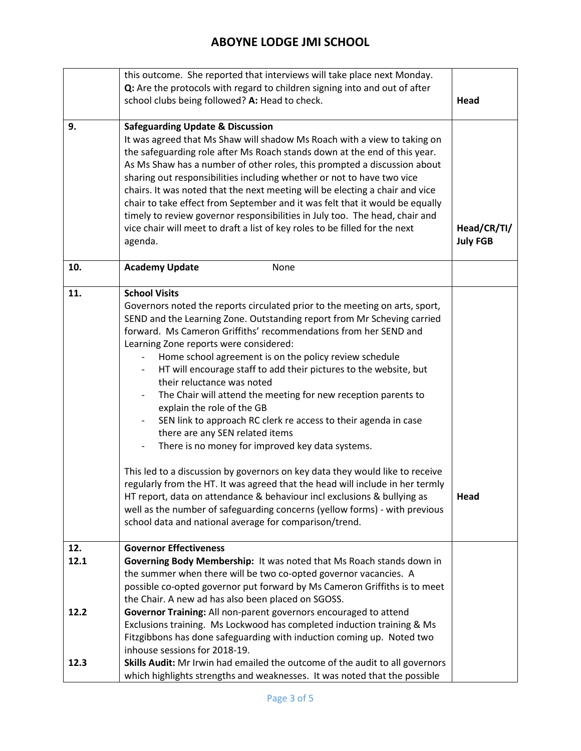|             | this outcome. She reported that interviews will take place next Monday.<br>Q: Are the protocols with regard to children signing into and out of after<br>school clubs being followed? A: Head to check.                                                                                                                                                                                                                                                                                                                                                                                                                                                                                                                                                                                                                                                                                                                                                                                                                                                                                                                                                  | Head                           |
|-------------|----------------------------------------------------------------------------------------------------------------------------------------------------------------------------------------------------------------------------------------------------------------------------------------------------------------------------------------------------------------------------------------------------------------------------------------------------------------------------------------------------------------------------------------------------------------------------------------------------------------------------------------------------------------------------------------------------------------------------------------------------------------------------------------------------------------------------------------------------------------------------------------------------------------------------------------------------------------------------------------------------------------------------------------------------------------------------------------------------------------------------------------------------------|--------------------------------|
| 9.          | <b>Safeguarding Update &amp; Discussion</b><br>It was agreed that Ms Shaw will shadow Ms Roach with a view to taking on<br>the safeguarding role after Ms Roach stands down at the end of this year.<br>As Ms Shaw has a number of other roles, this prompted a discussion about<br>sharing out responsibilities including whether or not to have two vice<br>chairs. It was noted that the next meeting will be electing a chair and vice<br>chair to take effect from September and it was felt that it would be equally<br>timely to review governor responsibilities in July too. The head, chair and<br>vice chair will meet to draft a list of key roles to be filled for the next<br>agenda.                                                                                                                                                                                                                                                                                                                                                                                                                                                      | Head/CR/TI/<br><b>July FGB</b> |
| 10.         | <b>Academy Update</b><br>None                                                                                                                                                                                                                                                                                                                                                                                                                                                                                                                                                                                                                                                                                                                                                                                                                                                                                                                                                                                                                                                                                                                            |                                |
| 11.         | <b>School Visits</b><br>Governors noted the reports circulated prior to the meeting on arts, sport,<br>SEND and the Learning Zone. Outstanding report from Mr Scheving carried<br>forward. Ms Cameron Griffiths' recommendations from her SEND and<br>Learning Zone reports were considered:<br>Home school agreement is on the policy review schedule<br>HT will encourage staff to add their pictures to the website, but<br>their reluctance was noted<br>The Chair will attend the meeting for new reception parents to<br>$\overline{\phantom{0}}$<br>explain the role of the GB<br>SEN link to approach RC clerk re access to their agenda in case<br>there are any SEN related items<br>There is no money for improved key data systems.<br>$\qquad \qquad -$<br>This led to a discussion by governors on key data they would like to receive<br>regularly from the HT. It was agreed that the head will include in her termly<br>HT report, data on attendance & behaviour incl exclusions & bullying as<br>well as the number of safeguarding concerns (yellow forms) - with previous<br>school data and national average for comparison/trend. | Head                           |
| 12.<br>12.1 | <b>Governor Effectiveness</b><br>Governing Body Membership: It was noted that Ms Roach stands down in                                                                                                                                                                                                                                                                                                                                                                                                                                                                                                                                                                                                                                                                                                                                                                                                                                                                                                                                                                                                                                                    |                                |
| 12.2        | the summer when there will be two co-opted governor vacancies. A<br>possible co-opted governor put forward by Ms Cameron Griffiths is to meet<br>the Chair. A new ad has also been placed on SGOSS.<br>Governor Training: All non-parent governors encouraged to attend<br>Exclusions training. Ms Lockwood has completed induction training & Ms<br>Fitzgibbons has done safeguarding with induction coming up. Noted two                                                                                                                                                                                                                                                                                                                                                                                                                                                                                                                                                                                                                                                                                                                               |                                |
| 12.3        | inhouse sessions for 2018-19.<br>Skills Audit: Mr Irwin had emailed the outcome of the audit to all governors<br>which highlights strengths and weaknesses. It was noted that the possible                                                                                                                                                                                                                                                                                                                                                                                                                                                                                                                                                                                                                                                                                                                                                                                                                                                                                                                                                               |                                |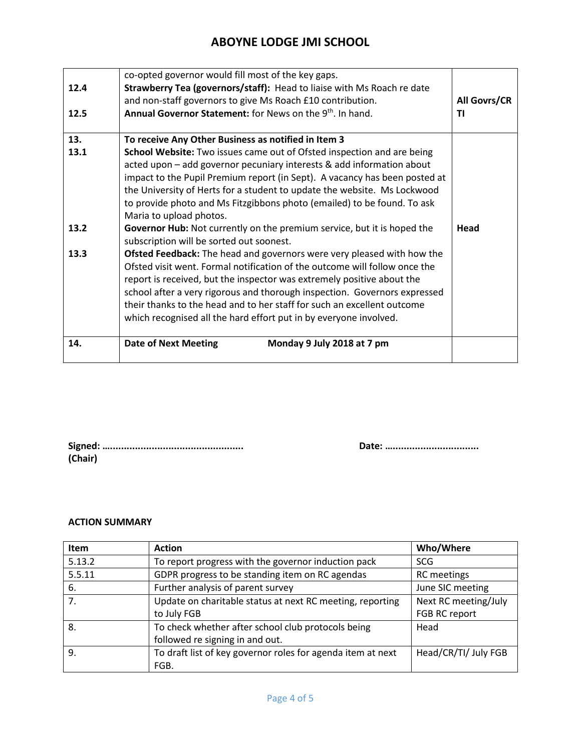| 12.4 | co-opted governor would fill most of the key gaps.<br>Strawberry Tea (governors/staff): Head to liaise with Ms Roach re date                                                                                                                                                                                                                                                                                                                                |              |
|------|-------------------------------------------------------------------------------------------------------------------------------------------------------------------------------------------------------------------------------------------------------------------------------------------------------------------------------------------------------------------------------------------------------------------------------------------------------------|--------------|
|      | and non-staff governors to give Ms Roach £10 contribution.                                                                                                                                                                                                                                                                                                                                                                                                  | All Govrs/CR |
| 12.5 | Annual Governor Statement: for News on the 9 <sup>th</sup> , In hand.                                                                                                                                                                                                                                                                                                                                                                                       | ΤI           |
|      |                                                                                                                                                                                                                                                                                                                                                                                                                                                             |              |
| 13.  | To receive Any Other Business as notified in Item 3                                                                                                                                                                                                                                                                                                                                                                                                         |              |
| 13.1 | School Website: Two issues came out of Ofsted inspection and are being<br>acted upon - add governor pecuniary interests & add information about<br>impact to the Pupil Premium report (in Sept). A vacancy has been posted at<br>the University of Herts for a student to update the website. Ms Lockwood<br>to provide photo and Ms Fitzgibbons photo (emailed) to be found. To ask<br>Maria to upload photos.                                             |              |
| 13.2 | Governor Hub: Not currently on the premium service, but it is hoped the<br>subscription will be sorted out soonest.                                                                                                                                                                                                                                                                                                                                         | Head         |
| 13.3 | Ofsted Feedback: The head and governors were very pleased with how the<br>Ofsted visit went. Formal notification of the outcome will follow once the<br>report is received, but the inspector was extremely positive about the<br>school after a very rigorous and thorough inspection. Governors expressed<br>their thanks to the head and to her staff for such an excellent outcome<br>which recognised all the hard effort put in by everyone involved. |              |
| 14.  | <b>Date of Next Meeting</b><br>Monday 9 July 2018 at 7 pm                                                                                                                                                                                                                                                                                                                                                                                                   |              |

| (Chair) |  |
|---------|--|

**Signed: …................................................ Date: …...............................**

#### **ACTION SUMMARY**

| Item   | <b>Action</b>                                               | Who/Where            |
|--------|-------------------------------------------------------------|----------------------|
| 5.13.2 | To report progress with the governor induction pack         | <b>SCG</b>           |
| 5.5.11 | GDPR progress to be standing item on RC agendas             | <b>RC</b> meetings   |
| 6.     | Further analysis of parent survey                           | June SIC meeting     |
| 7.     | Update on charitable status at next RC meeting, reporting   | Next RC meeting/July |
|        | to July FGB                                                 | FGB RC report        |
| 8.     | To check whether after school club protocols being          | Head                 |
|        | followed re signing in and out.                             |                      |
| 9.     | To draft list of key governor roles for agenda item at next | Head/CR/TI/ July FGB |
|        | FGB.                                                        |                      |